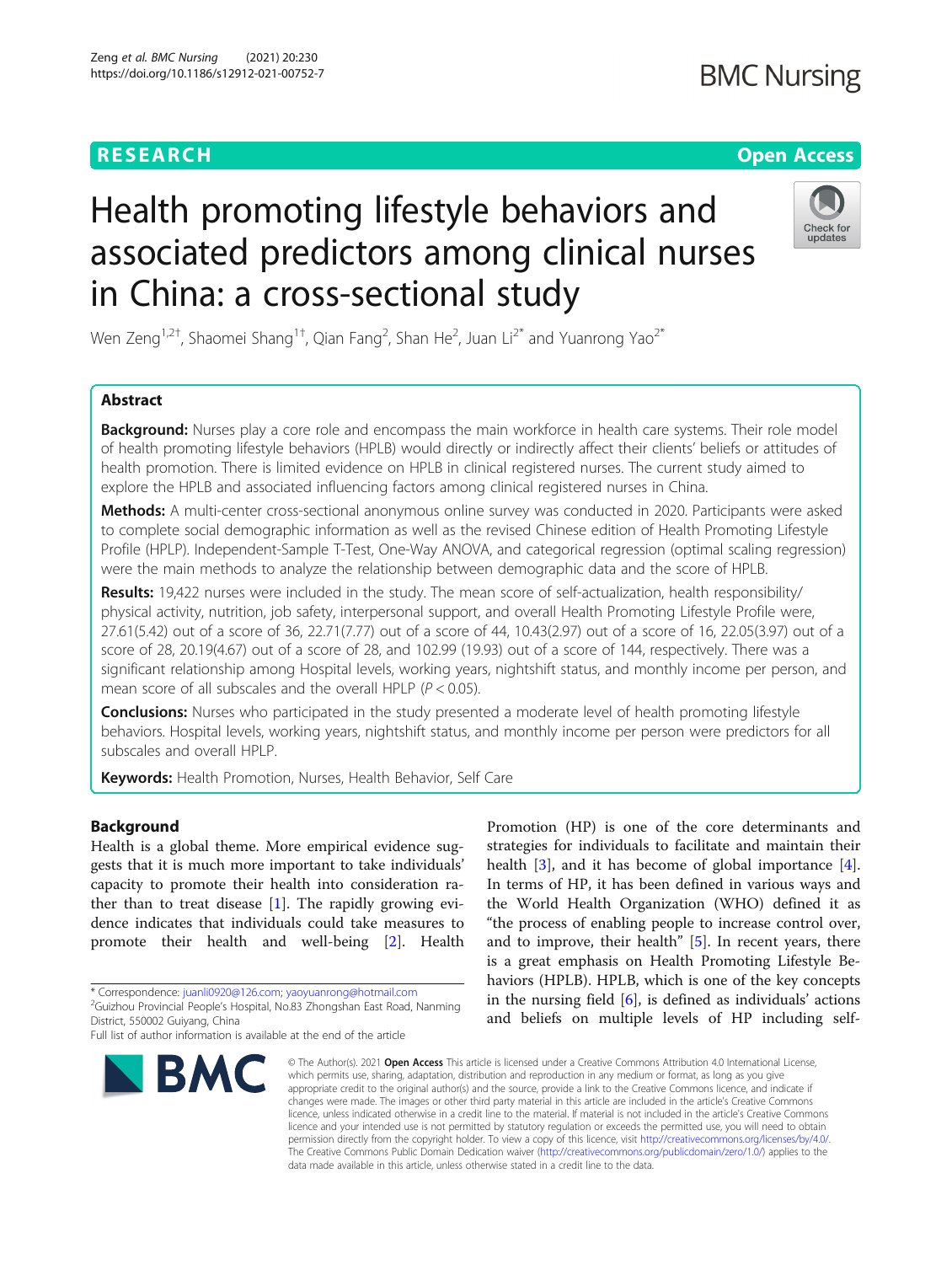# **RESEARCH CHE Open Access**

# Health promoting lifestyle behaviors and associated predictors among clinical nurses in China: a cross-sectional study



Wen Zeng<sup>1,2†</sup>, Shaomei Shang<sup>1†</sup>, Qian Fang<sup>2</sup>, Shan He<sup>2</sup>, Juan Li<sup>2\*</sup> and Yuanrong Yao<sup>2\*</sup>

# Abstract

Background: Nurses play a core role and encompass the main workforce in health care systems. Their role model of health promoting lifestyle behaviors (HPLB) would directly or indirectly affect their clients' beliefs or attitudes of health promotion. There is limited evidence on HPLB in clinical registered nurses. The current study aimed to explore the HPLB and associated influencing factors among clinical registered nurses in China.

Methods: A multi-center cross-sectional anonymous online survey was conducted in 2020. Participants were asked to complete social demographic information as well as the revised Chinese edition of Health Promoting Lifestyle Profile (HPLP). Independent-Sample T-Test, One-Way ANOVA, and categorical regression (optimal scaling regression) were the main methods to analyze the relationship between demographic data and the score of HPLB.

Results: 19,422 nurses were included in the study. The mean score of self-actualization, health responsibility/ physical activity, nutrition, job safety, interpersonal support, and overall Health Promoting Lifestyle Profile were, 27.61(5.42) out of a score of 36, 22.71(7.77) out of a score of 44, 10.43(2.97) out of a score of 16, 22.05(3.97) out of a score of 28, 20.19(4.67) out of a score of 28, and 102.99 (19.93) out of a score of 144, respectively. There was a significant relationship among Hospital levels, working years, nightshift status, and monthly income per person, and mean score of all subscales and the overall HPLP ( $P < 0.05$ ).

**Conclusions:** Nurses who participated in the study presented a moderate level of health promoting lifestyle behaviors. Hospital levels, working years, nightshift status, and monthly income per person were predictors for all subscales and overall HPLP.

Keywords: Health Promotion, Nurses, Health Behavior, Self Care

# Background

Health is a global theme. More empirical evidence suggests that it is much more important to take individuals' capacity to promote their health into consideration rather than to treat disease [\[1](#page-9-0)]. The rapidly growing evidence indicates that individuals could take measures to promote their health and well-being [\[2](#page-9-0)]. Health

\* Correspondence: [juanli0920@126.com;](mailto:juanli0920@126.com) [yaoyuanrong@hotmail.com](mailto:yaoyuanrong@hotmail.com) <sup>2</sup>

<sup>2</sup>Guizhou Provincial People's Hospital, No.83 Zhongshan East Road, Nanming District, 550002 Guiyang, China

Full list of author information is available at the end of the article



Promotion (HP) is one of the core determinants and strategies for individuals to facilitate and maintain their health [\[3](#page-9-0)], and it has become of global importance [\[4](#page-9-0)]. In terms of HP, it has been defined in various ways and the World Health Organization (WHO) defined it as "the process of enabling people to increase control over, and to improve, their health"  $[5]$  $[5]$ . In recent years, there is a great emphasis on Health Promoting Lifestyle Behaviors (HPLB). HPLB, which is one of the key concepts in the nursing field  $[6]$  $[6]$ , is defined as individuals' actions and beliefs on multiple levels of HP including self-

© The Author(s), 2021 **Open Access** This article is licensed under a Creative Commons Attribution 4.0 International License, which permits use, sharing, adaptation, distribution and reproduction in any medium or format, as long as you give appropriate credit to the original author(s) and the source, provide a link to the Creative Commons licence, and indicate if changes were made. The images or other third party material in this article are included in the article's Creative Commons licence, unless indicated otherwise in a credit line to the material. If material is not included in the article's Creative Commons licence and your intended use is not permitted by statutory regulation or exceeds the permitted use, you will need to obtain permission directly from the copyright holder. To view a copy of this licence, visit [http://creativecommons.org/licenses/by/4.0/.](http://creativecommons.org/licenses/by/4.0/) The Creative Commons Public Domain Dedication waiver [\(http://creativecommons.org/publicdomain/zero/1.0/](http://creativecommons.org/publicdomain/zero/1.0/)) applies to the data made available in this article, unless otherwise stated in a credit line to the data.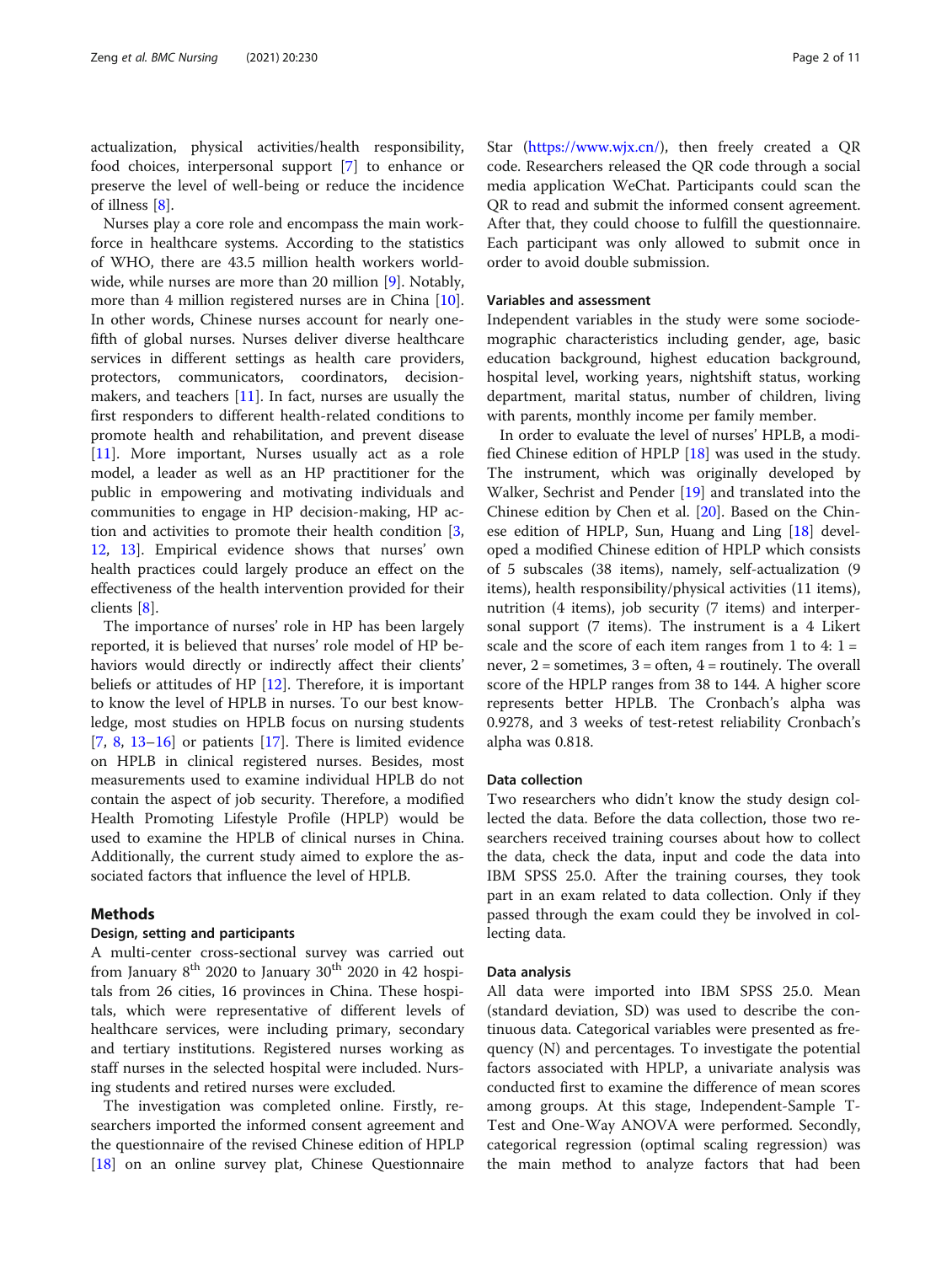actualization, physical activities/health responsibility, food choices, interpersonal support [\[7](#page-9-0)] to enhance or preserve the level of well-being or reduce the incidence of illness [[8\]](#page-9-0).

Nurses play a core role and encompass the main workforce in healthcare systems. According to the statistics of WHO, there are 43.5 million health workers worldwide, while nurses are more than 20 million [\[9\]](#page-9-0). Notably, more than 4 million registered nurses are in China [\[10](#page-9-0)]. In other words, Chinese nurses account for nearly onefifth of global nurses. Nurses deliver diverse healthcare services in different settings as health care providers, protectors, communicators, coordinators, decisionmakers, and teachers  $[11]$  $[11]$ . In fact, nurses are usually the first responders to different health-related conditions to promote health and rehabilitation, and prevent disease [[11\]](#page-9-0). More important, Nurses usually act as a role model, a leader as well as an HP practitioner for the public in empowering and motivating individuals and communities to engage in HP decision-making, HP action and activities to promote their health condition [\[3](#page-9-0), [12,](#page-9-0) [13](#page-9-0)]. Empirical evidence shows that nurses' own health practices could largely produce an effect on the effectiveness of the health intervention provided for their clients [\[8\]](#page-9-0).

The importance of nurses' role in HP has been largely reported, it is believed that nurses' role model of HP behaviors would directly or indirectly affect their clients' beliefs or attitudes of HP [[12\]](#page-9-0). Therefore, it is important to know the level of HPLB in nurses. To our best knowledge, most studies on HPLB focus on nursing students  $[7, 8, 13-16]$  $[7, 8, 13-16]$  $[7, 8, 13-16]$  $[7, 8, 13-16]$  $[7, 8, 13-16]$  $[7, 8, 13-16]$  $[7, 8, 13-16]$  $[7, 8, 13-16]$  $[7, 8, 13-16]$  or patients  $[17]$  $[17]$ . There is limited evidence on HPLB in clinical registered nurses. Besides, most measurements used to examine individual HPLB do not contain the aspect of job security. Therefore, a modified Health Promoting Lifestyle Profile (HPLP) would be used to examine the HPLB of clinical nurses in China. Additionally, the current study aimed to explore the associated factors that influence the level of HPLB.

# Methods

# Design, setting and participants

A multi-center cross-sectional survey was carried out from January  $8^{th}$  2020 to January  $30^{th}$  2020 in 42 hospitals from 26 cities, 16 provinces in China. These hospitals, which were representative of different levels of healthcare services, were including primary, secondary and tertiary institutions. Registered nurses working as staff nurses in the selected hospital were included. Nursing students and retired nurses were excluded.

The investigation was completed online. Firstly, researchers imported the informed consent agreement and the questionnaire of the revised Chinese edition of HPLP [[18\]](#page-9-0) on an online survey plat, Chinese Questionnaire Star ([https://www.wjx.cn/\)](https://www.wjx.cn/), then freely created a QR code. Researchers released the QR code through a social media application WeChat. Participants could scan the QR to read and submit the informed consent agreement. After that, they could choose to fulfill the questionnaire. Each participant was only allowed to submit once in order to avoid double submission.

# Variables and assessment

Independent variables in the study were some sociodemographic characteristics including gender, age, basic education background, highest education background, hospital level, working years, nightshift status, working department, marital status, number of children, living with parents, monthly income per family member.

In order to evaluate the level of nurses' HPLB, a modified Chinese edition of HPLP [\[18](#page-9-0)] was used in the study. The instrument, which was originally developed by Walker, Sechrist and Pender [[19](#page-9-0)] and translated into the Chinese edition by Chen et al. [\[20](#page-9-0)]. Based on the Chinese edition of HPLP, Sun, Huang and Ling [[18](#page-9-0)] developed a modified Chinese edition of HPLP which consists of 5 subscales (38 items), namely, self-actualization (9 items), health responsibility/physical activities (11 items), nutrition (4 items), job security (7 items) and interpersonal support (7 items). The instrument is a 4 Likert scale and the score of each item ranges from 1 to 4:  $1 =$ never,  $2 =$  sometimes,  $3 =$  often,  $4 =$  routinely. The overall score of the HPLP ranges from 38 to 144. A higher score represents better HPLB. The Cronbach's alpha was 0.9278, and 3 weeks of test-retest reliability Cronbach's alpha was 0.818.

# Data collection

Two researchers who didn't know the study design collected the data. Before the data collection, those two researchers received training courses about how to collect the data, check the data, input and code the data into IBM SPSS 25.0. After the training courses, they took part in an exam related to data collection. Only if they passed through the exam could they be involved in collecting data.

#### Data analysis

All data were imported into IBM SPSS 25.0. Mean (standard deviation, SD) was used to describe the continuous data. Categorical variables were presented as frequency (N) and percentages. To investigate the potential factors associated with HPLP, a univariate analysis was conducted first to examine the difference of mean scores among groups. At this stage, Independent-Sample T-Test and One-Way ANOVA were performed. Secondly, categorical regression (optimal scaling regression) was the main method to analyze factors that had been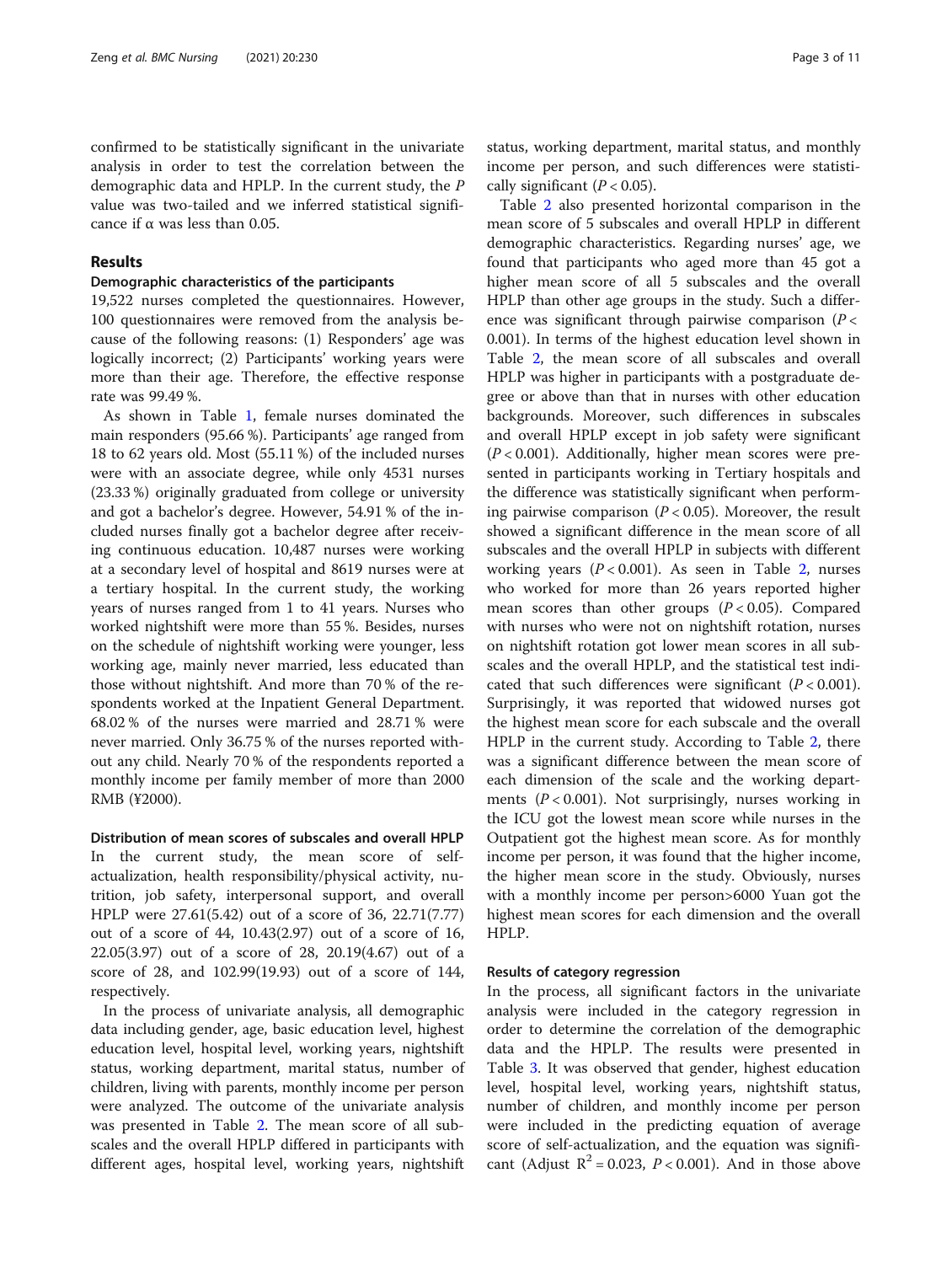confirmed to be statistically significant in the univariate analysis in order to test the correlation between the demographic data and HPLP. In the current study, the P value was two-tailed and we inferred statistical significance if  $\alpha$  was less than 0.05.

# Results

# Demographic characteristics of the participants

19,522 nurses completed the questionnaires. However, 100 questionnaires were removed from the analysis because of the following reasons: (1) Responders' age was logically incorrect; (2) Participants' working years were more than their age. Therefore, the effective response rate was 99.49 %.

As shown in Table [1](#page-3-0), female nurses dominated the main responders (95.66 %). Participants' age ranged from 18 to 62 years old. Most (55.11 %) of the included nurses were with an associate degree, while only 4531 nurses (23.33 %) originally graduated from college or university and got a bachelor's degree. However, 54.91 % of the included nurses finally got a bachelor degree after receiving continuous education. 10,487 nurses were working at a secondary level of hospital and 8619 nurses were at a tertiary hospital. In the current study, the working years of nurses ranged from 1 to 41 years. Nurses who worked nightshift were more than 55 %. Besides, nurses on the schedule of nightshift working were younger, less working age, mainly never married, less educated than those without nightshift. And more than 70 % of the respondents worked at the Inpatient General Department. 68.02 % of the nurses were married and 28.71 % were never married. Only 36.75 % of the nurses reported without any child. Nearly 70 % of the respondents reported a monthly income per family member of more than 2000 RMB (¥2000).

Distribution of mean scores of subscales and overall HPLP In the current study, the mean score of selfactualization, health responsibility/physical activity, nutrition, job safety, interpersonal support, and overall HPLP were 27.61(5.42) out of a score of 36, 22.71(7.77) out of a score of 44, 10.43(2.97) out of a score of 16, 22.05(3.97) out of a score of 28, 20.19(4.67) out of a score of 28, and 102.99(19.93) out of a score of 144, respectively.

In the process of univariate analysis, all demographic data including gender, age, basic education level, highest education level, hospital level, working years, nightshift status, working department, marital status, number of children, living with parents, monthly income per person were analyzed. The outcome of the univariate analysis was presented in Table [2.](#page-5-0) The mean score of all subscales and the overall HPLP differed in participants with different ages, hospital level, working years, nightshift status, working department, marital status, and monthly income per person, and such differences were statisti-

cally significant  $(P < 0.05)$ . Table [2](#page-5-0) also presented horizontal comparison in the mean score of 5 subscales and overall HPLP in different demographic characteristics. Regarding nurses' age, we found that participants who aged more than 45 got a higher mean score of all 5 subscales and the overall HPLP than other age groups in the study. Such a difference was significant through pairwise comparison  $(P <$ 0.001). In terms of the highest education level shown in Table [2](#page-5-0), the mean score of all subscales and overall HPLP was higher in participants with a postgraduate degree or above than that in nurses with other education backgrounds. Moreover, such differences in subscales and overall HPLP except in job safety were significant  $(P < 0.001)$ . Additionally, higher mean scores were presented in participants working in Tertiary hospitals and the difference was statistically significant when performing pairwise comparison ( $P < 0.05$ ). Moreover, the result showed a significant difference in the mean score of all subscales and the overall HPLP in subjects with different working years  $(P < 0.001)$ . As seen in Table [2,](#page-5-0) nurses who worked for more than 26 years reported higher mean scores than other groups  $(P < 0.05)$ . Compared with nurses who were not on nightshift rotation, nurses on nightshift rotation got lower mean scores in all subscales and the overall HPLP, and the statistical test indicated that such differences were significant  $(P < 0.001)$ . Surprisingly, it was reported that widowed nurses got the highest mean score for each subscale and the overall HPLP in the current study. According to Table [2,](#page-5-0) there was a significant difference between the mean score of each dimension of the scale and the working departments ( $P < 0.001$ ). Not surprisingly, nurses working in the ICU got the lowest mean score while nurses in the Outpatient got the highest mean score. As for monthly income per person, it was found that the higher income, the higher mean score in the study. Obviously, nurses with a monthly income per person>6000 Yuan got the highest mean scores for each dimension and the overall HPLP.

# Results of category regression

In the process, all significant factors in the univariate analysis were included in the category regression in order to determine the correlation of the demographic data and the HPLP. The results were presented in Table [3](#page-7-0). It was observed that gender, highest education level, hospital level, working years, nightshift status, number of children, and monthly income per person were included in the predicting equation of average score of self-actualization, and the equation was significant (Adjust  $R^2 = 0.023$ ,  $P < 0.001$ ). And in those above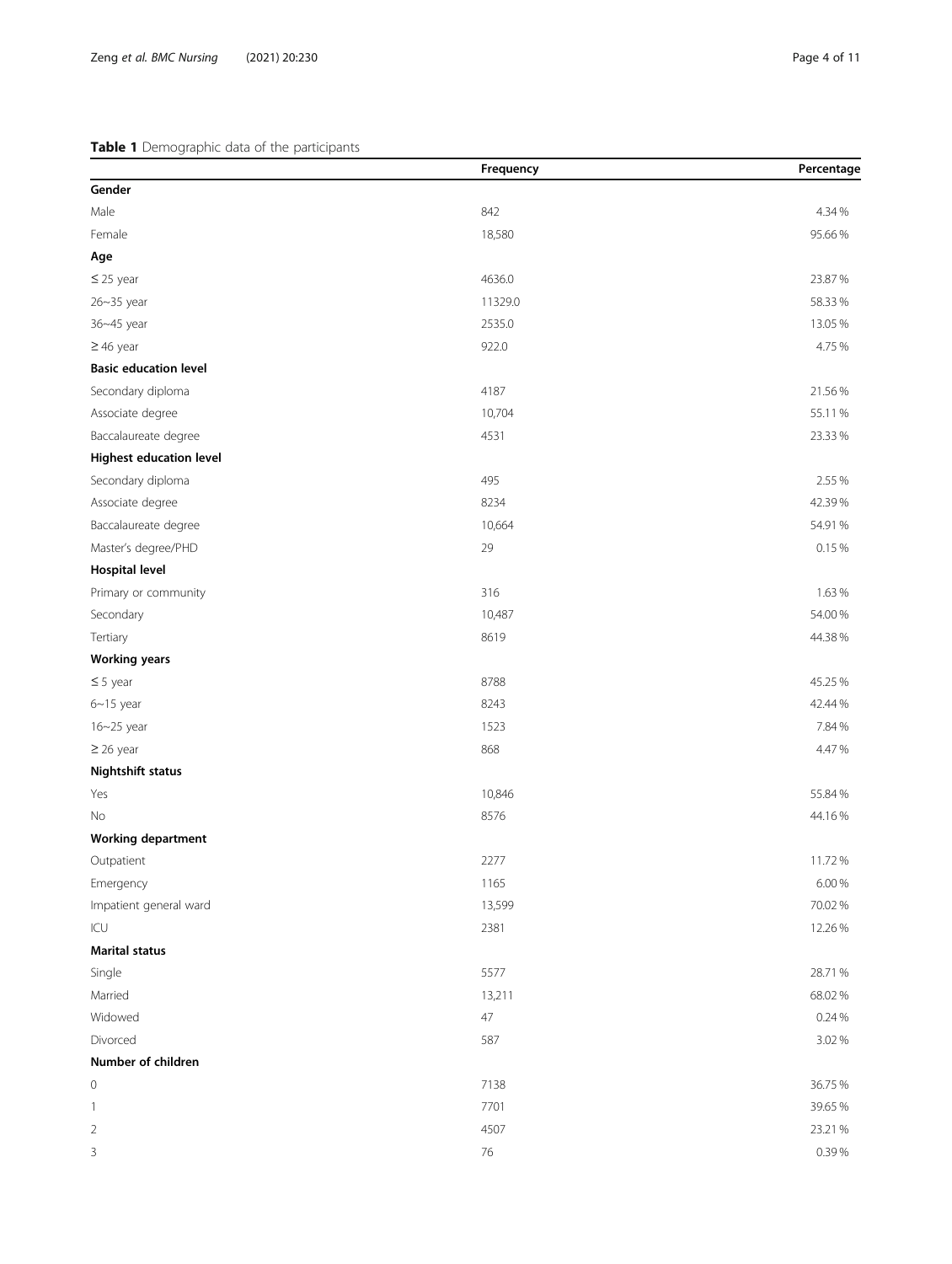# <span id="page-3-0"></span>Table 1 Demographic data of the participants

|                                | Frequency | Percentage |
|--------------------------------|-----------|------------|
| Gender                         |           |            |
| Male                           | 842       | 4.34 %     |
| Female                         | 18,580    | 95.66%     |
| Age                            |           |            |
| $\leq$ 25 year                 | 4636.0    | 23.87%     |
| 26~35 year                     | 11329.0   | 58.33%     |
| 36~45 year                     | 2535.0    | 13.05%     |
| $\geq$ 46 year                 | 922.0     | 4.75%      |
| <b>Basic education level</b>   |           |            |
| Secondary diploma              | 4187      | 21.56%     |
| Associate degree               | 10,704    | 55.11%     |
| Baccalaureate degree           | 4531      | 23.33%     |
| <b>Highest education level</b> |           |            |
| Secondary diploma              | 495       | 2.55 %     |
| Associate degree               | 8234      | 42.39%     |
| Baccalaureate degree           | 10,664    | 54.91%     |
| Master's degree/PHD            | 29        | 0.15%      |
| <b>Hospital level</b>          |           |            |
| Primary or community           | 316       | 1.63%      |
| Secondary                      | 10,487    | 54.00 %    |
| Tertiary                       | 8619      | 44.38%     |
| <b>Working years</b>           |           |            |
| $\leq$ 5 year                  | 8788      | 45.25 %    |
| $6 - 15$ year                  | 8243      | 42.44 %    |
| 16~25 year                     | 1523      | 7.84 %     |
| $\geq$ 26 year                 | 868       | 4.47%      |
| Nightshift status              |           |            |
| Yes                            | 10,846    | 55.84 %    |
| No                             | 8576      | 44.16%     |
| <b>Working department</b>      |           |            |
| Outpatient                     | 2277      | 11.72%     |
| Emergency                      | 1165      | 6.00%      |
| Impatient general ward         | 13,599    | 70.02 %    |
| $\textsf{ICU}$                 | 2381      | 12.26%     |
| <b>Marital status</b>          |           |            |
| Single                         | 5577      | 28.71%     |
| Married                        | 13,211    | 68.02%     |
| Widowed                        | 47        | 0.24%      |
| Divorced                       | 587       | 3.02%      |
| Number of children             |           |            |
| $\circ$                        | 7138      | 36.75 %    |
| $\mathbf{1}$                   | 7701      | 39.65%     |
| $\overline{2}$                 | 4507      | 23.21%     |
| $\overline{3}$                 | $76\,$    | 0.39%      |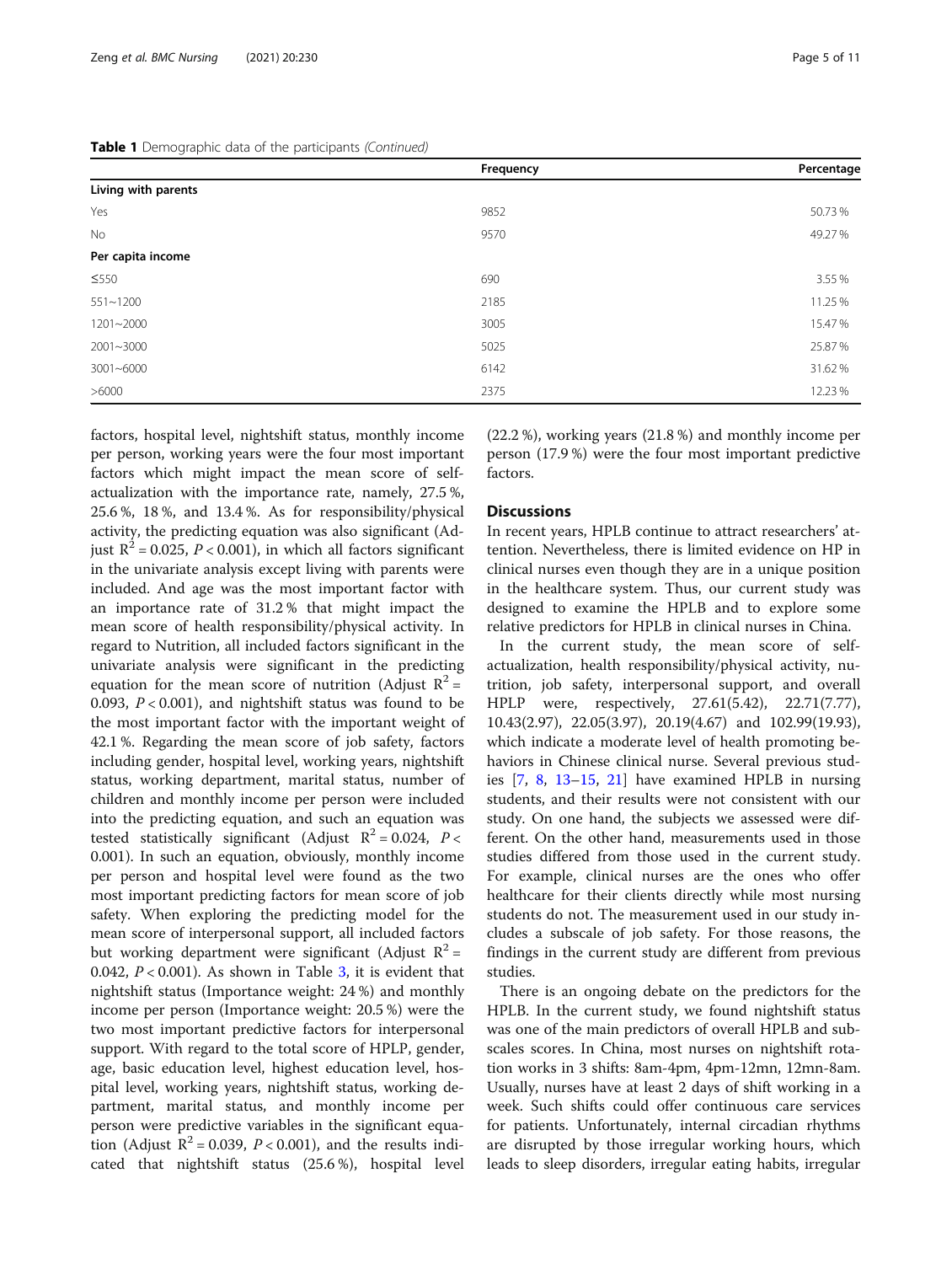|                     | Frequency | Percentage |
|---------------------|-----------|------------|
| Living with parents |           |            |
| Yes                 | 9852      | 50.73%     |
| No                  | 9570      | 49.27%     |
| Per capita income   |           |            |
| $\leq$ 550          | 690       | 3.55 %     |
| $551 - 1200$        | 2185      | 11.25 %    |
| $1201 - 2000$       | 3005      | 15.47%     |
| $2001 - 3000$       | 5025      | 25.87%     |
| $3001 - 6000$       | 6142      | 31.62%     |
| >6000               | 2375      | 12.23%     |

factors, hospital level, nightshift status, monthly income per person, working years were the four most important factors which might impact the mean score of selfactualization with the importance rate, namely, 27.5 %, 25.6 %, 18 %, and 13.4 %. As for responsibility/physical activity, the predicting equation was also significant (Adjust  $R^2$  = 0.025, P < 0.001), in which all factors significant in the univariate analysis except living with parents were included. And age was the most important factor with an importance rate of 31.2 % that might impact the mean score of health responsibility/physical activity. In regard to Nutrition, all included factors significant in the univariate analysis were significant in the predicting equation for the mean score of nutrition (Adjust  $R^2$  = 0.093,  $P < 0.001$ ), and nightshift status was found to be the most important factor with the important weight of 42.1 %. Regarding the mean score of job safety, factors including gender, hospital level, working years, nightshift status, working department, marital status, number of children and monthly income per person were included into the predicting equation, and such an equation was tested statistically significant (Adjust  $R^2 = 0.024$ ,  $P <$ 0.001). In such an equation, obviously, monthly income per person and hospital level were found as the two most important predicting factors for mean score of job safety. When exploring the predicting model for the mean score of interpersonal support, all included factors but working department were significant (Adjust  $R^2$  = 0.042,  $P < 0.001$ ). As shown in Table [3,](#page-7-0) it is evident that nightshift status (Importance weight: 24 %) and monthly income per person (Importance weight: 20.5 %) were the two most important predictive factors for interpersonal support. With regard to the total score of HPLP, gender, age, basic education level, highest education level, hospital level, working years, nightshift status, working department, marital status, and monthly income per person were predictive variables in the significant equation (Adjust  $R^2 = 0.039$ ,  $P < 0.001$ ), and the results indicated that nightshift status (25.6 %), hospital level

(22.2 %), working years (21.8 %) and monthly income per person (17.9 %) were the four most important predictive factors.

# **Discussions**

In recent years, HPLB continue to attract researchers' attention. Nevertheless, there is limited evidence on HP in clinical nurses even though they are in a unique position in the healthcare system. Thus, our current study was designed to examine the HPLB and to explore some relative predictors for HPLB in clinical nurses in China.

In the current study, the mean score of selfactualization, health responsibility/physical activity, nutrition, job safety, interpersonal support, and overall HPLP were, respectively, 27.61(5.42), 22.71(7.77), 10.43(2.97), 22.05(3.97), 20.19(4.67) and 102.99(19.93), which indicate a moderate level of health promoting behaviors in Chinese clinical nurse. Several previous studies [\[7](#page-9-0), [8](#page-9-0), [13](#page-9-0)–[15,](#page-9-0) [21\]](#page-9-0) have examined HPLB in nursing students, and their results were not consistent with our study. On one hand, the subjects we assessed were different. On the other hand, measurements used in those studies differed from those used in the current study. For example, clinical nurses are the ones who offer healthcare for their clients directly while most nursing students do not. The measurement used in our study includes a subscale of job safety. For those reasons, the findings in the current study are different from previous studies.

There is an ongoing debate on the predictors for the HPLB. In the current study, we found nightshift status was one of the main predictors of overall HPLB and subscales scores. In China, most nurses on nightshift rotation works in 3 shifts: 8am-4pm, 4pm-12mn, 12mn-8am. Usually, nurses have at least 2 days of shift working in a week. Such shifts could offer continuous care services for patients. Unfortunately, internal circadian rhythms are disrupted by those irregular working hours, which leads to sleep disorders, irregular eating habits, irregular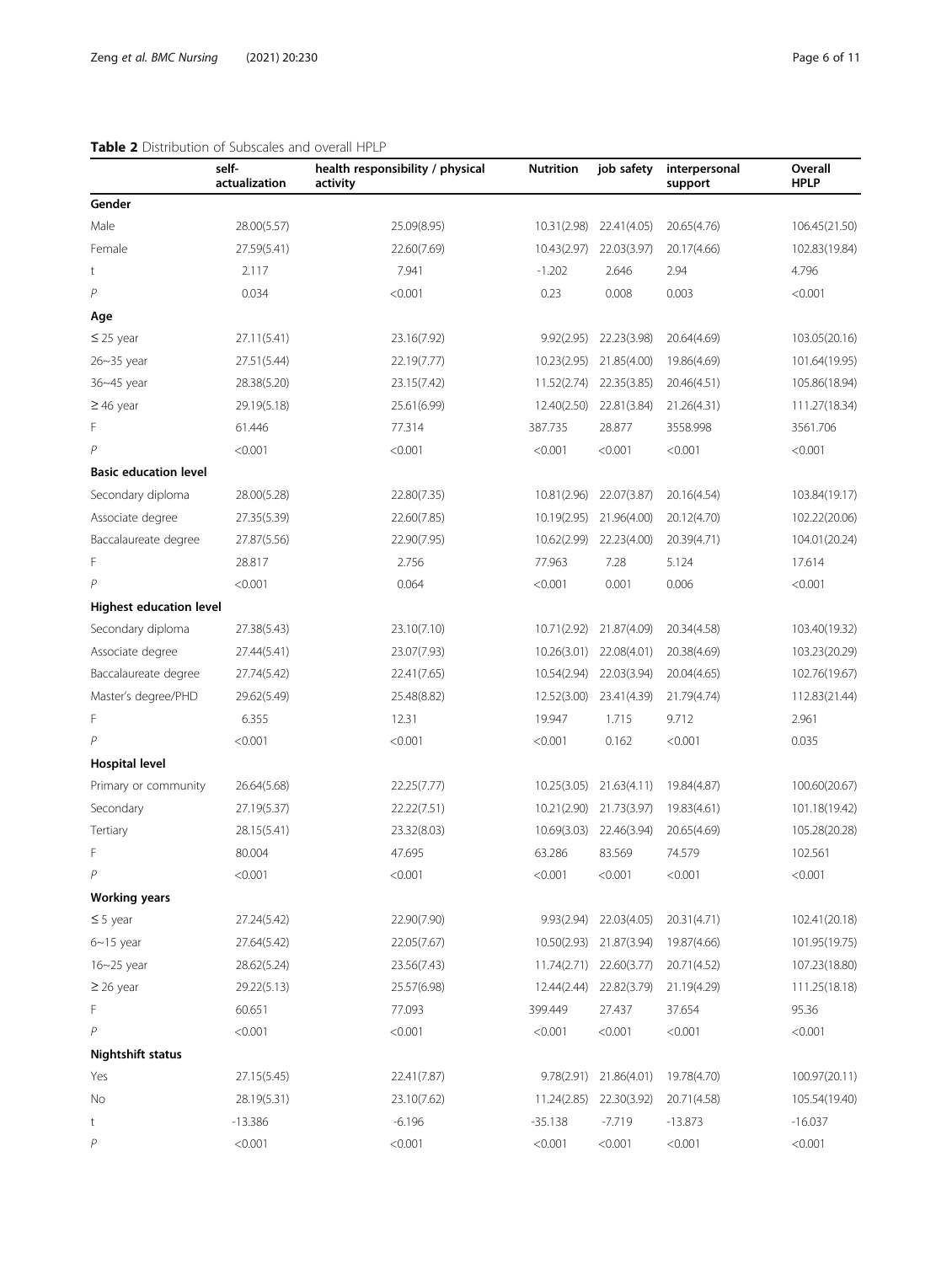# <span id="page-5-0"></span>Table 2 Distribution of Subscales and overall HPLP

|                                | self-<br>actualization | health responsibility / physical<br>activity | <b>Nutrition</b> | job safety             | interpersonal<br>support | Overall<br><b>HPLP</b> |
|--------------------------------|------------------------|----------------------------------------------|------------------|------------------------|--------------------------|------------------------|
| Gender                         |                        |                                              |                  |                        |                          |                        |
| Male                           | 28.00(5.57)            | 25.09(8.95)                                  | 10.31(2.98)      | 22.41(4.05)            | 20.65(4.76)              | 106.45(21.50)          |
| Female                         | 27.59(5.41)            | 22.60(7.69)                                  | 10.43(2.97)      | 22.03(3.97)            | 20.17(4.66)              | 102.83(19.84)          |
| t                              | 2.117                  | 7.941                                        | $-1.202$         | 2.646                  | 2.94                     | 4.796                  |
| $\overline{P}$                 | 0.034                  | < 0.001                                      | 0.23             | 0.008                  | 0.003                    | < 0.001                |
| Age                            |                        |                                              |                  |                        |                          |                        |
| $\leq$ 25 year                 | 27.11(5.41)            | 23.16(7.92)                                  | 9.92(2.95)       | 22.23(3.98)            | 20.64(4.69)              | 103.05(20.16)          |
| 26~35 year                     | 27.51(5.44)            | 22.19(7.77)                                  | 10.23(2.95)      | 21.85(4.00)            | 19.86(4.69)              | 101.64(19.95)          |
| 36~45 year                     | 28.38(5.20)            | 23.15(7.42)                                  | 11.52(2.74)      | 22.35(3.85)            | 20.46(4.51)              | 105.86(18.94)          |
| $\geq$ 46 year                 | 29.19(5.18)            | 25.61(6.99)                                  | 12.40(2.50)      | 22.81(3.84)            | 21.26(4.31)              | 111.27(18.34)          |
| F                              | 61.446                 | 77.314                                       | 387.735          | 28.877                 | 3558.998                 | 3561.706               |
| $\overline{P}$                 | < 0.001                | < 0.001                                      | < 0.001          | < 0.001                | < 0.001                  | < 0.001                |
| <b>Basic education level</b>   |                        |                                              |                  |                        |                          |                        |
| Secondary diploma              | 28.00(5.28)            | 22.80(7.35)                                  | 10.81(2.96)      | 22.07(3.87)            | 20.16(4.54)              | 103.84(19.17)          |
| Associate degree               | 27.35(5.39)            | 22.60(7.85)                                  | 10.19(2.95)      | 21.96(4.00)            | 20.12(4.70)              | 102.22(20.06)          |
| Baccalaureate degree           | 27.87(5.56)            | 22.90(7.95)                                  | 10.62(2.99)      | 22.23(4.00)            | 20.39(4.71)              | 104.01(20.24)          |
| F                              | 28.817                 | 2.756                                        | 77.963           | 7.28                   | 5.124                    | 17.614                 |
| $\overline{P}$                 | < 0.001                | 0.064                                        | < 0.001          | 0.001                  | 0.006                    | < 0.001                |
| <b>Highest education level</b> |                        |                                              |                  |                        |                          |                        |
| Secondary diploma              | 27.38(5.43)            | 23.10(7.10)                                  | 10.71(2.92)      | 21.87(4.09)            | 20.34(4.58)              | 103.40(19.32)          |
| Associate degree               | 27.44(5.41)            | 23.07(7.93)                                  | 10.26(3.01)      | 22.08(4.01)            | 20.38(4.69)              | 103.23(20.29)          |
| Baccalaureate degree           | 27.74(5.42)            | 22.41(7.65)                                  | 10.54(2.94)      | 22.03(3.94)            | 20.04(4.65)              | 102.76(19.67)          |
| Master's degree/PHD            | 29.62(5.49)            | 25.48(8.82)                                  | 12.52(3.00)      | 23.41(4.39)            | 21.79(4.74)              | 112.83(21.44)          |
| F                              | 6.355                  | 12.31                                        | 19.947           | 1.715                  | 9.712                    | 2.961                  |
| $\mathsf{P}$                   | < 0.001                | < 0.001                                      | < 0.001          | 0.162                  | < 0.001                  | 0.035                  |
| Hospital level                 |                        |                                              |                  |                        |                          |                        |
| Primary or community           | 26.64(5.68)            | 22.25(7.77)                                  | 10.25(3.05)      | 21.63(4.11)            | 19.84(4.87)              | 100.60(20.67)          |
| Secondary                      | 27.19(5.37)            | 22.22(7.51)                                  | 10.21(2.90)      | 21.73(3.97)            | 19.83(4.61)              | 101.18(19.42)          |
| Tertiary                       | 28.15(5.41)            | 23.32(8.03)                                  | 10.69(3.03)      | 22.46(3.94)            | 20.65(4.69)              | 105.28(20.28)          |
| F                              | 80.004                 | 47.695                                       | 63.286           | 83.569                 | 74.579                   | 102.561                |
| P                              | < 0.001                | < 0.001                                      | < 0.001          | < 0.001                | < 0.001                  | < 0.001                |
| <b>Working years</b>           |                        |                                              |                  |                        |                          |                        |
| $\leq$ 5 year                  | 27.24(5.42)            | 22.90(7.90)                                  | 9.93(2.94)       | 22.03(4.05)            | 20.31(4.71)              | 102.41(20.18)          |
| $6 - 15$ year                  | 27.64(5.42)            | 22.05(7.67)                                  | 10.50(2.93)      | 21.87(3.94)            | 19.87(4.66)              | 101.95(19.75)          |
| $16 - 25$ year                 | 28.62(5.24)            | 23.56(7.43)                                  | 11.74(2.71)      | 22.60(3.77)            | 20.71(4.52)              | 107.23(18.80)          |
| $\geq$ 26 year                 | 29.22(5.13)            | 25.57(6.98)                                  | 12.44(2.44)      | 22.82(3.79)            | 21.19(4.29)              | 111.25(18.18)          |
| F                              | 60.651                 | 77.093                                       | 399.449          | 27.437                 | 37.654                   | 95.36                  |
| P                              | < 0.001                | < 0.001                                      | < 0.001          | < 0.001                | < 0.001                  | < 0.001                |
| <b>Nightshift status</b>       |                        |                                              |                  |                        |                          |                        |
| Yes                            | 27.15(5.45)            | 22.41(7.87)                                  |                  | 9.78(2.91) 21.86(4.01) | 19.78(4.70)              | 100.97(20.11)          |
| No                             | 28.19(5.31)            | 23.10(7.62)                                  | 11.24(2.85)      | 22.30(3.92)            | 20.71(4.58)              | 105.54(19.40)          |
| t                              | $-13.386$              | $-6.196$                                     | $-35.138$        | $-7.719$               | $-13.873$                | $-16.037$              |
| P                              | < 0.001                | < 0.001                                      | < 0.001          | < 0.001                | < 0.001                  | < 0.001                |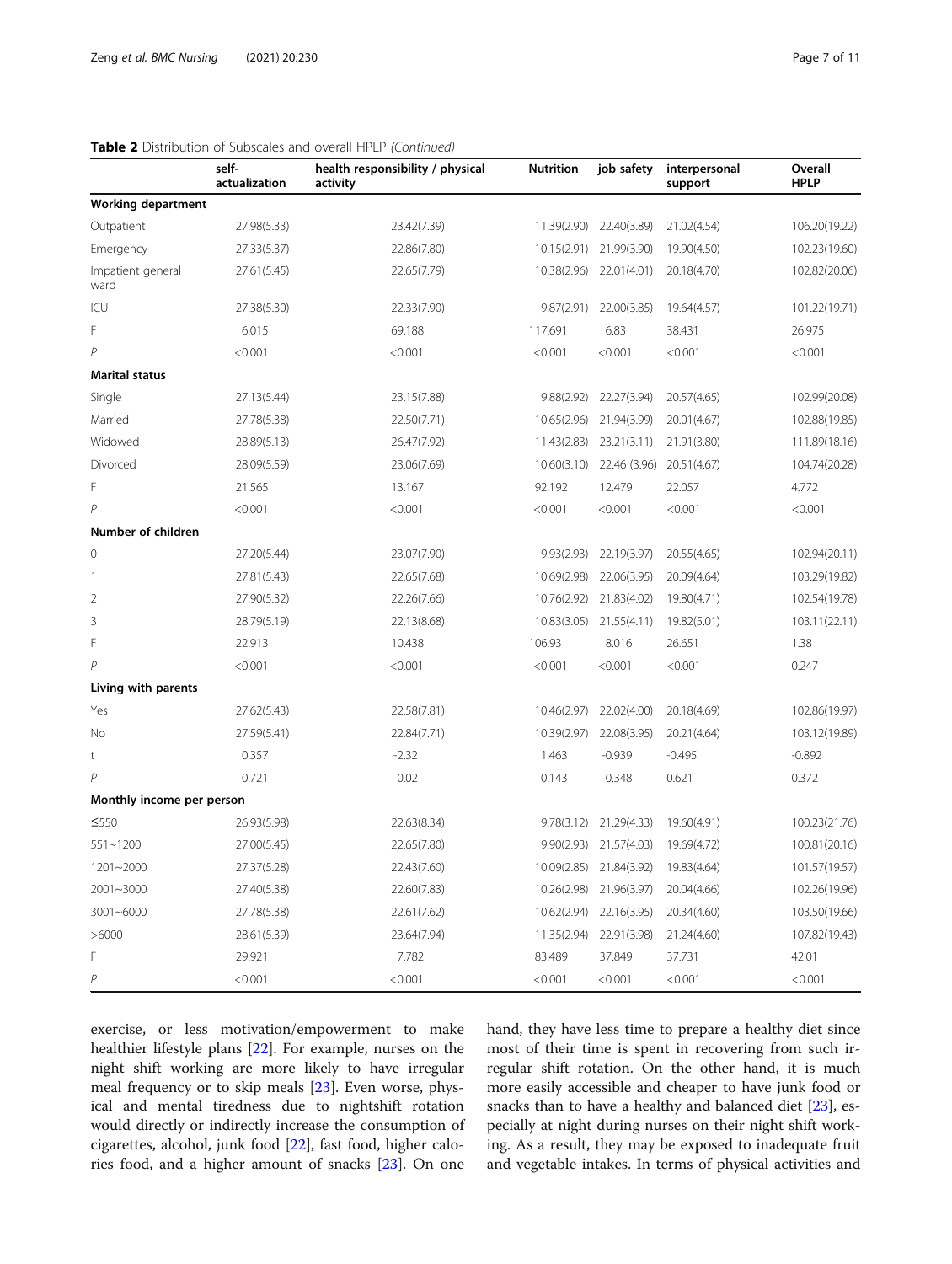|                           | self-<br>actualization | health responsibility / physical<br>activity | <b>Nutrition</b> | job safety              | interpersonal<br>support | Overall<br><b>HPLP</b> |
|---------------------------|------------------------|----------------------------------------------|------------------|-------------------------|--------------------------|------------------------|
| <b>Working department</b> |                        |                                              |                  |                         |                          |                        |
| Outpatient                | 27.98(5.33)            | 23.42(7.39)                                  | 11.39(2.90)      | 22.40(3.89)             | 21.02(4.54)              | 106.20(19.22)          |
| Emergency                 | 27.33(5.37)            | 22.86(7.80)                                  |                  | 10.15(2.91) 21.99(3.90) | 19.90(4.50)              | 102.23(19.60)          |
| Impatient general<br>ward | 27.61(5.45)            | 22.65(7.79)                                  | 10.38(2.96)      | 22.01(4.01)             | 20.18(4.70)              | 102.82(20.06)          |
| ICU                       | 27.38(5.30)            | 22.33(7.90)                                  | 9.87(2.91)       | 22.00(3.85)             | 19.64(4.57)              | 101.22(19.71)          |
| F                         | 6.015                  | 69.188                                       | 117.691          | 6.83                    | 38.431                   | 26.975                 |
| $\overline{P}$            | < 0.001                | < 0.001                                      | < 0.001          | < 0.001                 | < 0.001                  | < 0.001                |
| <b>Marital status</b>     |                        |                                              |                  |                         |                          |                        |
| Single                    | 27.13(5.44)            | 23.15(7.88)                                  | 9.88(2.92)       | 22.27(3.94)             | 20.57(4.65)              | 102.99(20.08)          |
| Married                   | 27.78(5.38)            | 22.50(7.71)                                  | 10.65(2.96)      | 21.94(3.99)             | 20.01(4.67)              | 102.88(19.85)          |
| Widowed                   | 28.89(5.13)            | 26.47(7.92)                                  | 11.43(2.83)      | 23.21(3.11)             | 21.91(3.80)              | 111.89(18.16)          |
| Divorced                  | 28.09(5.59)            | 23.06(7.69)                                  | 10.60(3.10)      | 22.46 (3.96)            | 20.51(4.67)              | 104.74(20.28)          |
| F                         | 21.565                 | 13.167                                       | 92.192           | 12.479                  | 22.057                   | 4.772                  |
| $\overline{P}$            | < 0.001                | < 0.001                                      | < 0.001          | < 0.001                 | < 0.001                  | < 0.001                |
| Number of children        |                        |                                              |                  |                         |                          |                        |
| $\mathbf 0$               | 27.20(5.44)            | 23.07(7.90)                                  | 9.93(2.93)       | 22.19(3.97)             | 20.55(4.65)              | 102.94(20.11)          |
| $\mathbf{1}$              | 27.81(5.43)            | 22.65(7.68)                                  | 10.69(2.98)      | 22.06(3.95)             | 20.09(4.64)              | 103.29(19.82)          |
| $\overline{2}$            | 27.90(5.32)            | 22.26(7.66)                                  | 10.76(2.92)      | 21.83(4.02)             | 19.80(4.71)              | 102.54(19.78)          |
| $\mathsf 3$               | 28.79(5.19)            | 22.13(8.68)                                  | 10.83(3.05)      | 21.55(4.11)             | 19.82(5.01)              | 103.11(22.11)          |
| F                         | 22.913                 | 10.438                                       | 106.93           | 8.016                   | 26.651                   | 1.38                   |
| $\overline{P}$            | < 0.001                | < 0.001                                      | < 0.001          | < 0.001                 | < 0.001                  | 0.247                  |
| Living with parents       |                        |                                              |                  |                         |                          |                        |
| Yes                       | 27.62(5.43)            | 22.58(7.81)                                  | 10.46(2.97)      | 22.02(4.00)             | 20.18(4.69)              | 102.86(19.97)          |
| No                        | 27.59(5.41)            | 22.84(7.71)                                  | 10.39(2.97)      | 22.08(3.95)             | 20.21(4.64)              | 103.12(19.89)          |
| t                         | 0.357                  | $-2.32$                                      | 1.463            | $-0.939$                | $-0.495$                 | $-0.892$               |
| $\overline{P}$            | 0.721                  | 0.02                                         | 0.143            | 0.348                   | 0.621                    | 0.372                  |
| Monthly income per person |                        |                                              |                  |                         |                          |                        |
| ≤550                      | 26.93(5.98)            | 22.63(8.34)                                  | 9.78(3.12)       | 21.29(4.33)             | 19.60(4.91)              | 100.23(21.76)          |
| $551 - 1200$              | 27.00(5.45)            | 22.65(7.80)                                  |                  | 9.90(2.93) 21.57(4.03)  | 19.69(4.72)              | 100.81(20.16)          |
| $1201 - 2000$             | 27.37(5.28)            | 22.43(7.60)                                  |                  | 10.09(2.85) 21.84(3.92) | 19.83(4.64)              | 101.57(19.57)          |
| $2001 - 3000$             | 27.40(5.38)            | 22.60(7.83)                                  |                  | 10.26(2.98) 21.96(3.97) | 20.04(4.66)              | 102.26(19.96)          |
| $3001 - 6000$             | 27.78(5.38)            | 22.61(7.62)                                  |                  | 10.62(2.94) 22.16(3.95) | 20.34(4.60)              | 103.50(19.66)          |
| >6000                     | 28.61(5.39)            | 23.64(7.94)                                  | 11.35(2.94)      | 22.91(3.98)             | 21.24(4.60)              | 107.82(19.43)          |
| F                         | 29.921                 | 7.782                                        | 83.489           | 37.849                  | 37.731                   | 42.01                  |
| $\overline{P}$            | < 0.001                | < 0.001                                      | < 0.001          | < 0.001                 | < 0.001                  | < 0.001                |

# Table 2 Distribution of Subscales and overall HPLP (Continued)

exercise, or less motivation/empowerment to make healthier lifestyle plans [\[22\]](#page-9-0). For example, nurses on the night shift working are more likely to have irregular meal frequency or to skip meals [[23\]](#page-9-0). Even worse, physical and mental tiredness due to nightshift rotation would directly or indirectly increase the consumption of cigarettes, alcohol, junk food [[22\]](#page-9-0), fast food, higher calories food, and a higher amount of snacks [\[23\]](#page-9-0). On one hand, they have less time to prepare a healthy diet since most of their time is spent in recovering from such irregular shift rotation. On the other hand, it is much more easily accessible and cheaper to have junk food or snacks than to have a healthy and balanced diet [[23](#page-9-0)], especially at night during nurses on their night shift working. As a result, they may be exposed to inadequate fruit and vegetable intakes. In terms of physical activities and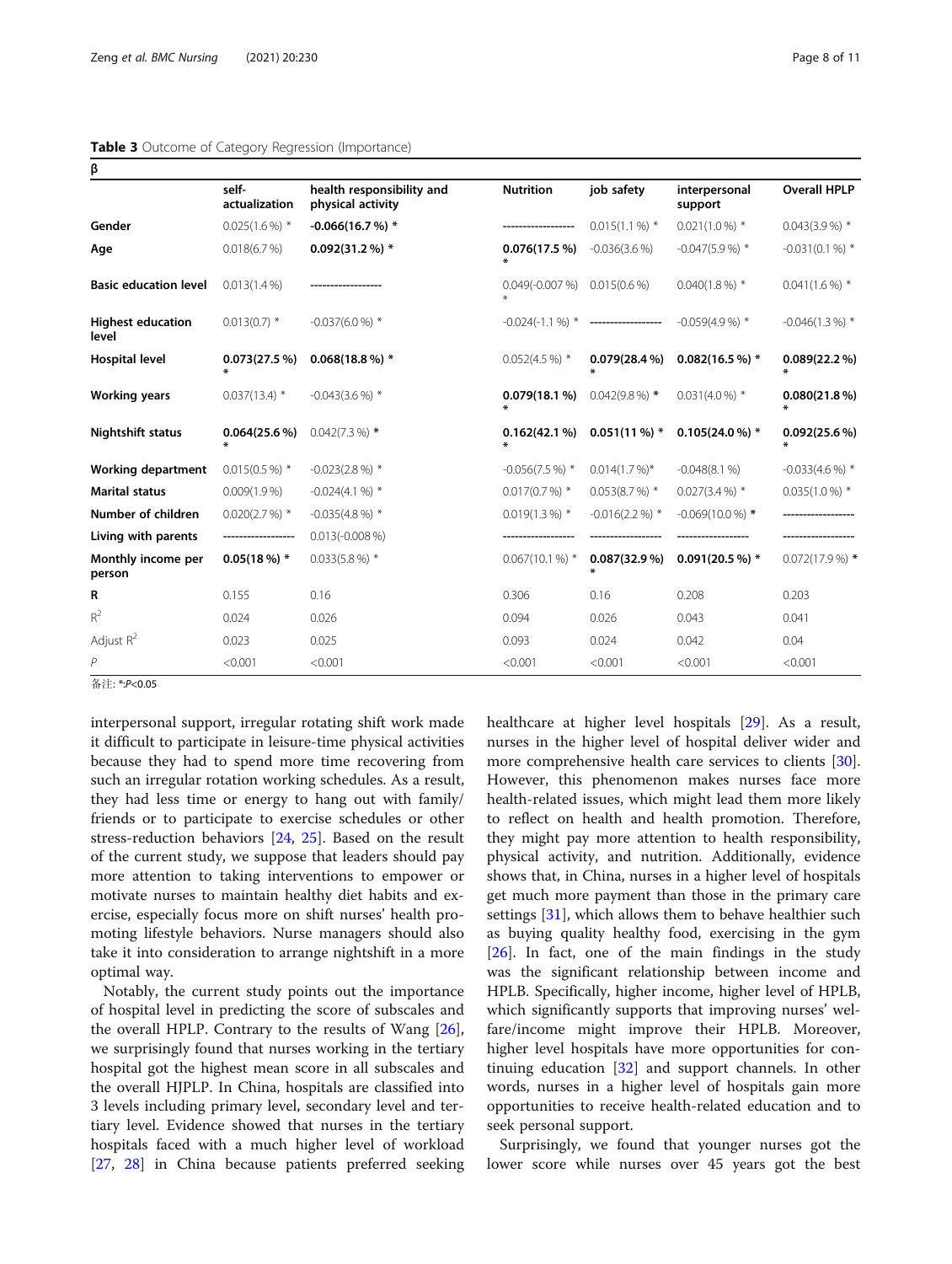# <span id="page-7-0"></span>Table 3 Outcome of Category Regression (Importance)

| β                                 |                        |                                                |                           |                                       |                          |                      |
|-----------------------------------|------------------------|------------------------------------------------|---------------------------|---------------------------------------|--------------------------|----------------------|
|                                   | self-<br>actualization | health responsibility and<br>physical activity | <b>Nutrition</b>          | job safety                            | interpersonal<br>support | <b>Overall HPLP</b>  |
| Gender                            | $0.025(1.6\%)$ *       | $-0.066(16.7%)$ *                              |                           | $0.015(1.1\%)$ *                      | $0.021(1.0\%)$ *         | $0.043(3.9\%)$ *     |
| Age                               | 0.018(6.7%)            | $0.092(31.2\%)$ *                              | 0.076(17.5%)<br>∗         | $-0.036(3.6%)$                        | $-0.047(5.9%$            | $-0.031(0.1\%)$ *    |
| <b>Basic education level</b>      | $0.013(1.4\%)$         |                                                | $0.049(-0.007%)$          | $0.015(0.6\%)$                        | $0.040(1.8\%)$ *         | $0.041(1.6\%)$ *     |
| <b>Highest education</b><br>level | $0.013(0.7)$ *         | $-0.037(6.0\%)$ *                              |                           | $-0.024(-1.1\%)$ * ------------------ | $-0.059(4.9\%)$ *        | $-0.046(1.3\%)$ *    |
| <b>Hospital level</b>             | 0.073(27.5%)<br>¥      | $0.068(18.8\%)$ *                              | $0.052(4.5\%)$ *          | $0.079(28.4\%)$                       | $0.082(16.5\%)$ *        | $0.089(22.2\%)$<br>∗ |
| <b>Working years</b>              | $0.037(13.4)$ *        | $-0.043(3.6\%)$ *                              | $0.079(18.1\%)$<br>$\ast$ | $0.042(9.8\%)$ *                      | $0.031(4.0\%)$ *         | $0.080(21.8\%)$      |
| <b>Nightshift status</b>          | $0.064(25.6\%)$        | $0.042(7.3\%)$ *                               | 0.162(42.1%)              | $0.051(11\%)$ *                       | $0.105(24.0\%)$ *        | $0.092(25.6\%)$      |
| <b>Working department</b>         | $0.015(0.5\%)$ *       | $-0.023(2.8\%)$ *                              | $-0.056(7.5%)$ *          | $0.014(1.7\%)^*$                      | $-0.048(8.1%)$           | $-0.033(4.6%)$ *     |
| <b>Marital status</b>             | $0.009(1.9\%)$         | $-0.024(4.1\%)$ *                              | $0.017(0.7%)$ *           | $0.053(8.7%)$ *                       | $0.027(3.4\%)$ *         | $0.035(1.0\%)$ *     |
| Number of children                | $0.020(2.7%)$ *        | $-0.035(4.8\%)$ *                              | $0.019(1.3\%)$ *          | $-0.016(2.2\%)$ *                     | $-0.069(10.0\%)$ *       |                      |
| Living with parents               | ------------------     | $0.013(-0.008\%)$                              |                           |                                       |                          |                      |
| Monthly income per<br>person      | $0.05(18\%)$ *         | $0.033(5.8\%)$ *                               | $0.067(10.1\%)$ *         | $0.087(32.9\%)$                       | $0.091(20.5\%)$ *        | $0.072(17.9\%)$ *    |
| R                                 | 0.155                  | 0.16                                           | 0.306                     | 0.16                                  | 0.208                    | 0.203                |
| $R^2$                             | 0.024                  | 0.026                                          | 0.094                     | 0.026                                 | 0.043                    | 0.041                |
| Adjust $R^2$                      | 0.023                  | 0.025                                          | 0.093                     | 0.024                                 | 0.042                    | 0.04                 |
| P                                 | < 0.001                | < 0.001                                        | < 0.001                   | < 0.001                               | < 0.001                  | < 0.001              |

<sup>备</sup>注: \*:P<0.05

interpersonal support, irregular rotating shift work made it difficult to participate in leisure-time physical activities because they had to spend more time recovering from such an irregular rotation working schedules. As a result, they had less time or energy to hang out with family/ friends or to participate to exercise schedules or other stress-reduction behaviors [[24](#page-9-0), [25\]](#page-9-0). Based on the result of the current study, we suppose that leaders should pay more attention to taking interventions to empower or motivate nurses to maintain healthy diet habits and exercise, especially focus more on shift nurses' health promoting lifestyle behaviors. Nurse managers should also take it into consideration to arrange nightshift in a more optimal way.

Notably, the current study points out the importance of hospital level in predicting the score of subscales and the overall HPLP. Contrary to the results of Wang [\[26](#page-9-0)], we surprisingly found that nurses working in the tertiary hospital got the highest mean score in all subscales and the overall HJPLP. In China, hospitals are classified into 3 levels including primary level, secondary level and tertiary level. Evidence showed that nurses in the tertiary hospitals faced with a much higher level of workload [[27,](#page-9-0) [28\]](#page-9-0) in China because patients preferred seeking healthcare at higher level hospitals [\[29\]](#page-9-0). As a result, nurses in the higher level of hospital deliver wider and more comprehensive health care services to clients [\[30](#page-9-0)]. However, this phenomenon makes nurses face more health-related issues, which might lead them more likely to reflect on health and health promotion. Therefore, they might pay more attention to health responsibility, physical activity, and nutrition. Additionally, evidence shows that, in China, nurses in a higher level of hospitals get much more payment than those in the primary care settings [[31\]](#page-9-0), which allows them to behave healthier such as buying quality healthy food, exercising in the gym  $[26]$  $[26]$ . In fact, one of the main findings in the study was the significant relationship between income and HPLB. Specifically, higher income, higher level of HPLB, which significantly supports that improving nurses' welfare/income might improve their HPLB. Moreover, higher level hospitals have more opportunities for continuing education [[32\]](#page-9-0) and support channels. In other words, nurses in a higher level of hospitals gain more opportunities to receive health-related education and to seek personal support.

Surprisingly, we found that younger nurses got the lower score while nurses over 45 years got the best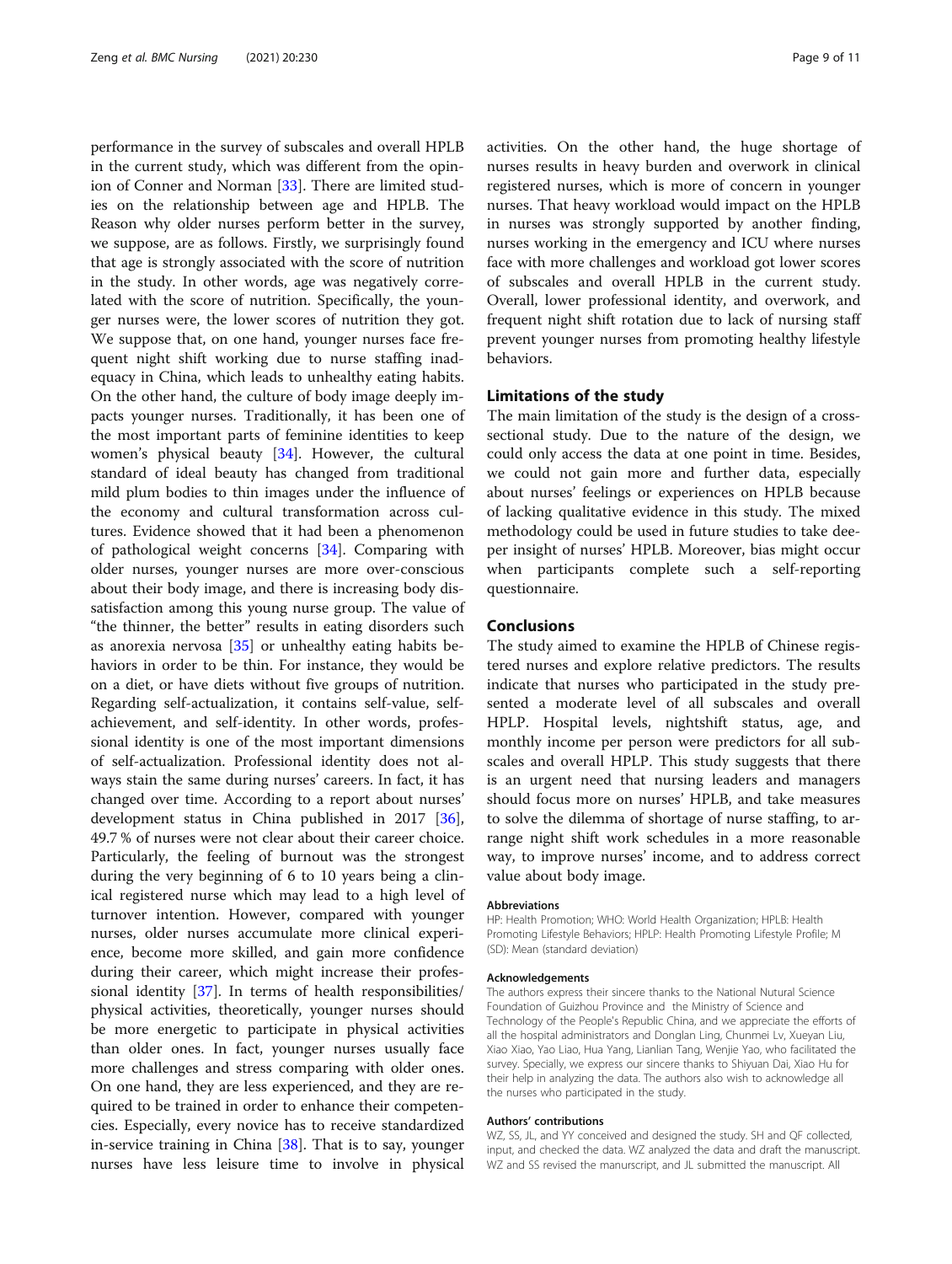performance in the survey of subscales and overall HPLB in the current study, which was different from the opinion of Conner and Norman [\[33](#page-9-0)]. There are limited studies on the relationship between age and HPLB. The Reason why older nurses perform better in the survey, we suppose, are as follows. Firstly, we surprisingly found that age is strongly associated with the score of nutrition in the study. In other words, age was negatively correlated with the score of nutrition. Specifically, the younger nurses were, the lower scores of nutrition they got. We suppose that, on one hand, younger nurses face frequent night shift working due to nurse staffing inadequacy in China, which leads to unhealthy eating habits. On the other hand, the culture of body image deeply impacts younger nurses. Traditionally, it has been one of the most important parts of feminine identities to keep women's physical beauty [[34\]](#page-9-0). However, the cultural standard of ideal beauty has changed from traditional mild plum bodies to thin images under the influence of the economy and cultural transformation across cultures. Evidence showed that it had been a phenomenon of pathological weight concerns [\[34](#page-9-0)]. Comparing with older nurses, younger nurses are more over-conscious about their body image, and there is increasing body dissatisfaction among this young nurse group. The value of "the thinner, the better" results in eating disorders such as anorexia nervosa [\[35](#page-10-0)] or unhealthy eating habits behaviors in order to be thin. For instance, they would be on a diet, or have diets without five groups of nutrition. Regarding self-actualization, it contains self-value, selfachievement, and self-identity. In other words, professional identity is one of the most important dimensions of self-actualization. Professional identity does not always stain the same during nurses' careers. In fact, it has changed over time. According to a report about nurses' development status in China published in 2017 [\[36](#page-10-0)], 49.7 % of nurses were not clear about their career choice. Particularly, the feeling of burnout was the strongest during the very beginning of 6 to 10 years being a clinical registered nurse which may lead to a high level of turnover intention. However, compared with younger nurses, older nurses accumulate more clinical experience, become more skilled, and gain more confidence during their career, which might increase their professional identity [[37](#page-10-0)]. In terms of health responsibilities/ physical activities, theoretically, younger nurses should be more energetic to participate in physical activities than older ones. In fact, younger nurses usually face more challenges and stress comparing with older ones. On one hand, they are less experienced, and they are required to be trained in order to enhance their competencies. Especially, every novice has to receive standardized in-service training in China [[38\]](#page-10-0). That is to say, younger nurses have less leisure time to involve in physical activities. On the other hand, the huge shortage of nurses results in heavy burden and overwork in clinical registered nurses, which is more of concern in younger nurses. That heavy workload would impact on the HPLB in nurses was strongly supported by another finding, nurses working in the emergency and ICU where nurses face with more challenges and workload got lower scores of subscales and overall HPLB in the current study. Overall, lower professional identity, and overwork, and frequent night shift rotation due to lack of nursing staff prevent younger nurses from promoting healthy lifestyle behaviors.

# Limitations of the study

The main limitation of the study is the design of a crosssectional study. Due to the nature of the design, we could only access the data at one point in time. Besides, we could not gain more and further data, especially about nurses' feelings or experiences on HPLB because of lacking qualitative evidence in this study. The mixed methodology could be used in future studies to take deeper insight of nurses' HPLB. Moreover, bias might occur when participants complete such a self-reporting questionnaire.

# Conclusions

The study aimed to examine the HPLB of Chinese registered nurses and explore relative predictors. The results indicate that nurses who participated in the study presented a moderate level of all subscales and overall HPLP. Hospital levels, nightshift status, age, and monthly income per person were predictors for all subscales and overall HPLP. This study suggests that there is an urgent need that nursing leaders and managers should focus more on nurses' HPLB, and take measures to solve the dilemma of shortage of nurse staffing, to arrange night shift work schedules in a more reasonable way, to improve nurses' income, and to address correct value about body image.

#### Abbreviations

HP: Health Promotion; WHO: World Health Organization; HPLB: Health Promoting Lifestyle Behaviors; HPLP: Health Promoting Lifestyle Profile; M (SD): Mean (standard deviation)

#### Acknowledgements

The authors express their sincere thanks to the National Nutural Science Foundation of Guizhou Province and the Ministry of Science and Technology of the People's Republic China, and we appreciate the efforts of all the hospital administrators and Donglan Ling, Chunmei Lv, Xueyan Liu, Xiao Xiao, Yao Liao, Hua Yang, Lianlian Tang, Wenjie Yao, who facilitated the survey. Specially, we express our sincere thanks to Shiyuan Dai, Xiao Hu for their help in analyzing the data. The authors also wish to acknowledge all the nurses who participated in the study.

#### Authors' contributions

WZ, SS, JL, and YY conceived and designed the study. SH and QF collected, input, and checked the data. WZ analyzed the data and draft the manuscript. WZ and SS revised the manurscript, and JL submitted the manuscript. All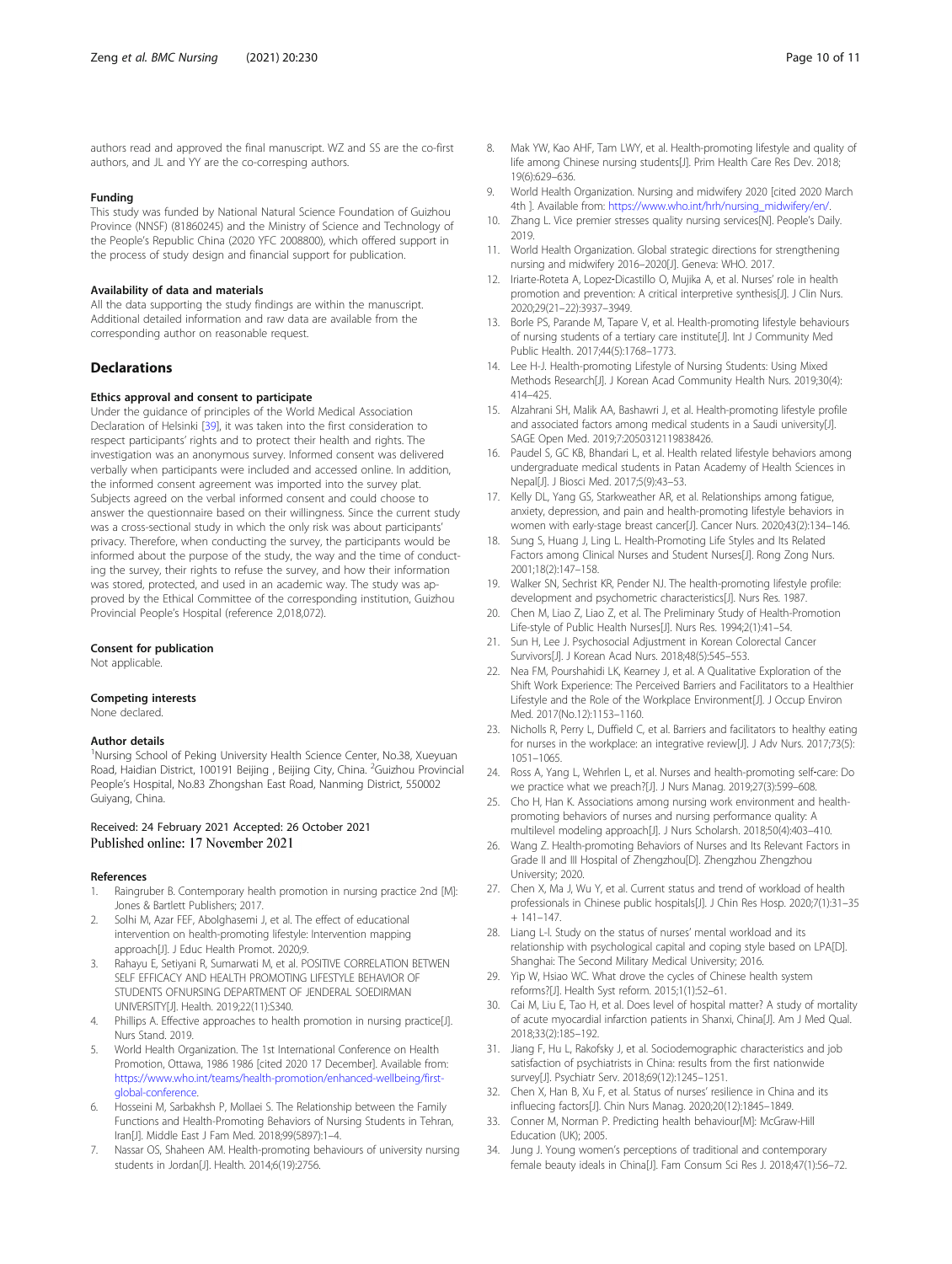<span id="page-9-0"></span>authors read and approved the final manuscript. WZ and SS are the co-first authors, and JL and YY are the co-corresping authors.

### Funding

This study was funded by National Natural Science Foundation of Guizhou Province (NNSF) (81860245) and the Ministry of Science and Technology of the People's Republic China (2020 YFC 2008800), which offered support in the process of study design and financial support for publication.

# Availability of data and materials

All the data supporting the study findings are within the manuscript. Additional detailed information and raw data are available from the corresponding author on reasonable request.

# **Declarations**

# Ethics approval and consent to participate

Under the guidance of principles of the World Medical Association Declaration of Helsinki [\[39](#page-10-0)], it was taken into the first consideration to respect participants' rights and to protect their health and rights. The investigation was an anonymous survey. Informed consent was delivered verbally when participants were included and accessed online. In addition, the informed consent agreement was imported into the survey plat. Subjects agreed on the verbal informed consent and could choose to answer the questionnaire based on their willingness. Since the current study was a cross-sectional study in which the only risk was about participants' privacy. Therefore, when conducting the survey, the participants would be informed about the purpose of the study, the way and the time of conducting the survey, their rights to refuse the survey, and how their information was stored, protected, and used in an academic way. The study was approved by the Ethical Committee of the corresponding institution, Guizhou Provincial People's Hospital (reference 2,018,072).

#### Consent for publication

Not applicable.

#### Competing interests

None declared.

### Author details

<sup>1</sup>Nursing School of Peking University Health Science Center, No.38, Xueyuan Road, Haidian District, 100191 Beijing , Beijing City, China. <sup>2</sup>Guizhou Provincial People's Hospital, No.83 Zhongshan East Road, Nanming District, 550002 Guiyang, China.

# Received: 24 February 2021 Accepted: 26 October 2021 Published online: 17 November 2021

#### References

- 1. Raingruber B. Contemporary health promotion in nursing practice 2nd [M]: Jones & Bartlett Publishers; 2017.
- 2. Solhi M, Azar FEF, Abolghasemi J, et al. The effect of educational intervention on health-promoting lifestyle: Intervention mapping approach[J]. J Educ Health Promot. 2020;9.
- 3. Rahayu E, Setiyani R, Sumarwati M, et al. POSITIVE CORRELATION BETWEN SELF EFFICACY AND HEALTH PROMOTING LIFESTYLE BEHAVIOR OF STUDENTS OFNURSING DEPARTMENT OF JENDERAL SOEDIRMAN UNIVERSITY[J]. Health. 2019;22(11):S340.
- 4. Phillips A. Effective approaches to health promotion in nursing practice[J]. Nurs Stand. 2019.
- 5. World Health Organization. The 1st International Conference on Health Promotion, Ottawa, 1986 1986 [cited 2020 17 December]. Available from: [https://www.who.int/teams/health-promotion/enhanced-wellbeing/first](https://www.who.int/teams/health-promotion/enhanced-wellbeing/first-global-conference)[global-conference](https://www.who.int/teams/health-promotion/enhanced-wellbeing/first-global-conference).
- Hosseini M, Sarbakhsh P, Mollaei S. The Relationship between the Family Functions and Health-Promoting Behaviors of Nursing Students in Tehran, Iran[J]. Middle East J Fam Med. 2018;99(5897):1–4.
- 7. Nassar OS, Shaheen AM. Health-promoting behaviours of university nursing students in Jordan[J]. Health. 2014;6(19):2756.
- 8. Mak YW, Kao AHF, Tam LWY, et al. Health-promoting lifestyle and quality of life among Chinese nursing students[J]. Prim Health Care Res Dev. 2018; 19(6):629–636.
- 9. World Health Organization. Nursing and midwifery 2020 [cited 2020 March 4th ]. Available from: [https://www.who.int/hrh/nursing\\_midwifery/en/.](https://www.who.int/hrh/nursing_midwifery/en/)
- 10. Zhang L. Vice premier stresses quality nursing services[N]. People's Daily. 2019.
- 11. World Health Organization. Global strategic directions for strengthening nursing and midwifery 2016–2020[J]. Geneva: WHO. 2017.
- 12. Iriarte-Roteta A, Lopez‐Dicastillo O, Mujika A, et al. Nurses' role in health promotion and prevention: A critical interpretive synthesis[J]. J Clin Nurs. 2020;29(21–22):3937–3949.
- 13. Borle PS, Parande M, Tapare V, et al. Health-promoting lifestyle behaviours of nursing students of a tertiary care institute[J]. Int J Community Med Public Health. 2017;44(5):1768–1773.
- 14. Lee H-J. Health-promoting Lifestyle of Nursing Students: Using Mixed Methods Research[J]. J Korean Acad Community Health Nurs. 2019;30(4): 414–425.
- 15. Alzahrani SH, Malik AA, Bashawri J, et al. Health-promoting lifestyle profile and associated factors among medical students in a Saudi university[J]. SAGE Open Med. 2019;7:2050312119838426.
- 16. Paudel S, GC KB, Bhandari L, et al. Health related lifestyle behaviors among undergraduate medical students in Patan Academy of Health Sciences in Nepal[J]. J Biosci Med. 2017;5(9):43–53.
- 17. Kelly DL, Yang GS, Starkweather AR, et al. Relationships among fatigue, anxiety, depression, and pain and health-promoting lifestyle behaviors in women with early-stage breast cancer[J]. Cancer Nurs. 2020;43(2):134–146.
- 18. Sung S, Huang J, Ling L. Health-Promoting Life Styles and Its Related Factors among Clinical Nurses and Student Nurses[J]. Rong Zong Nurs. 2001;18(2):147–158.
- 19. Walker SN, Sechrist KR, Pender NJ. The health-promoting lifestyle profile: development and psychometric characteristics[J]. Nurs Res. 1987.
- 20. Chen M, Liao Z, Liao Z, et al. The Preliminary Study of Health-Promotion Life-style of Public Health Nurses[J]. Nurs Res. 1994;2(1):41–54.
- 21. Sun H, Lee J. Psychosocial Adjustment in Korean Colorectal Cancer Survivors[J]. J Korean Acad Nurs. 2018;48(5):545–553.
- 22. Nea FM, Pourshahidi LK, Kearney J, et al. A Qualitative Exploration of the Shift Work Experience: The Perceived Barriers and Facilitators to a Healthier Lifestyle and the Role of the Workplace Environment[J]. J Occup Environ Med. 2017(No.12):1153–1160.
- 23. Nicholls R, Perry L, Duffield C, et al. Barriers and facilitators to healthy eating for nurses in the workplace: an integrative review[J]. J Adv Nurs. 2017;73(5): 1051–1065.
- 24. Ross A, Yang L, Wehrlen L, et al. Nurses and health-promoting self-care: Do we practice what we preach?[J]. J Nurs Manag. 2019;27(3):599–608.
- 25. Cho H, Han K. Associations among nursing work environment and healthpromoting behaviors of nurses and nursing performance quality: A multilevel modeling approach[J]. J Nurs Scholarsh. 2018;50(4):403–410.
- 26. Wang Z. Health-promoting Behaviors of Nurses and Its Relevant Factors in Grade II and III Hospital of Zhengzhou[D]. Zhengzhou Zhengzhou University; 2020.
- 27. Chen X, Ma J, Wu Y, et al. Current status and trend of workload of health professionals in Chinese public hospitals[J]. J Chin Res Hosp. 2020;7(1):31–35 + 141–147.
- 28. Liang L-l. Study on the status of nurses' mental workload and its relationship with psychological capital and coping style based on LPA[D]. Shanghai: The Second Military Medical University; 2016.
- 29. Yip W, Hsiao WC. What drove the cycles of Chinese health system reforms?[J]. Health Syst reform. 2015;1(1):52–61.
- 30. Cai M, Liu E, Tao H, et al. Does level of hospital matter? A study of mortality of acute myocardial infarction patients in Shanxi, China[J]. Am J Med Qual. 2018;33(2):185–192.
- 31. Jiang F, Hu L, Rakofsky J, et al. Sociodemographic characteristics and job satisfaction of psychiatrists in China: results from the first nationwide survey[J]. Psychiatr Serv. 2018;69(12):1245–1251.
- 32. Chen X, Han B, Xu F, et al. Status of nurses' resilience in China and its influecing factors[J]. Chin Nurs Manag. 2020;20(12):1845–1849.
- 33. Conner M, Norman P. Predicting health behaviour[M]: McGraw-Hill Education (UK); 2005.
- 34. Jung J. Young women's perceptions of traditional and contemporary female beauty ideals in China[J]. Fam Consum Sci Res J. 2018;47(1):56–72.